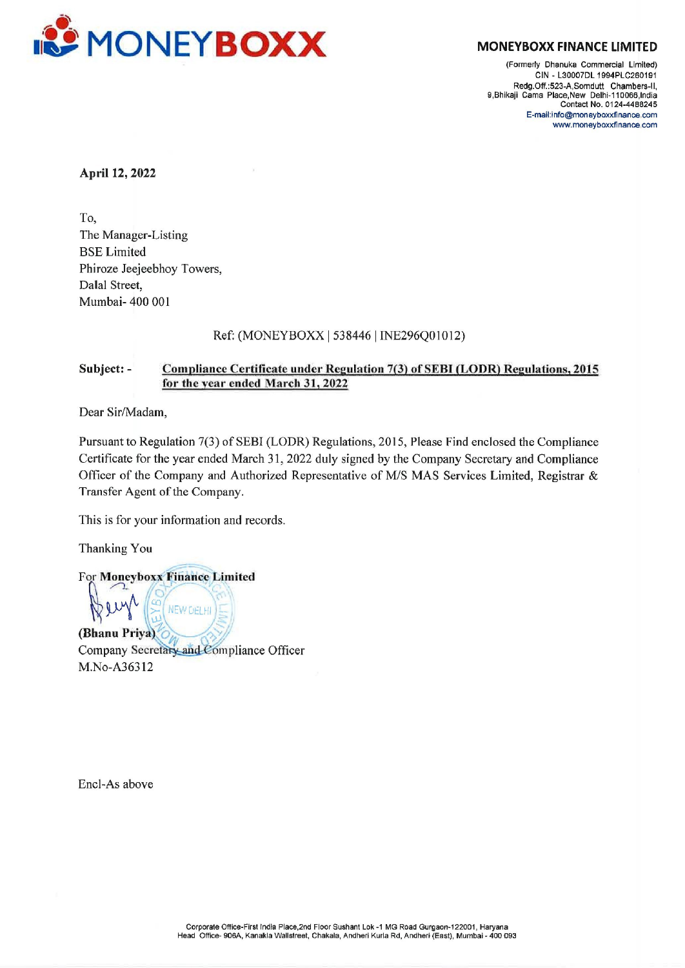

(Formerly Dhanuka Commercial Limited) CIN - L30007DL 1994PLC260191 Redg. Off.:523-A,Somdutt Chambers-ll, 9,Bhikaji Cama Place,New Delhi-110066,India Contact No. 0124-4489245 E-mail:info@moneyboxxfinance.com www.moneyboxxfinance com

April 12, 2022

To, The Manager-Listing BSE Limited Phiroze Jeejeebhoy Towers, Dalal Street, Mumbai- 400 001

## Ref: (MONEYBOX<X | 538446 | INE296Q01012)

# Subject: - Compliance Certificate under Regulation 7(3) of SEBI (LODR) Regulations, 2015 for the year ended March 31, 2022

Dear Sir/Madam,

Pursuant to Regulation 7(3) of SEBI (LODR) Regulations, 2015, Please Find enclosed the Compliance Certificate for the year ended March 31, 2022 duly signed by the Company Secretary and Compliance Officer of the Company and Authorized Representative of M/S MAS Services Limited, Registrar & Transfer Agent of the Company.

This is for your information and records.

Thanking You

For Moneyboxx Finance Limited **NEW DELHI** (Bhanu Priya), Company Secretary and Compliance Officer M.No-A36312

Encl-As above